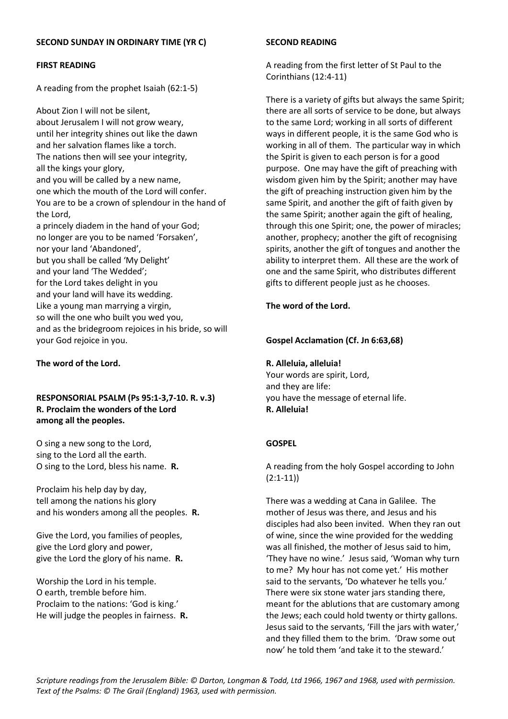#### **FIRST READING**

A reading from the prophet Isaiah (62:1-5)

About Zion I will not be silent, about Jerusalem I will not grow weary, until her integrity shines out like the dawn and her salvation flames like a torch. The nations then will see your integrity, all the kings your glory, and you will be called by a new name, one which the mouth of the Lord will confer. You are to be a crown of splendour in the hand of the Lord, a princely diadem in the hand of your God; no longer are you to be named 'Forsaken', nor your land 'Abandoned', but you shall be called 'My Delight' and your land 'The Wedded'; for the Lord takes delight in you and your land will have its wedding. Like a young man marrying a virgin, so will the one who built you wed you, and as the bridegroom rejoices in his bride, so will your God rejoice in you.

**The word of the Lord.**

### **RESPONSORIAL PSALM (Ps 95:1-3,7-10. R. v.3) R. Proclaim the wonders of the Lord among all the peoples.**

O sing a new song to the Lord, sing to the Lord all the earth. O sing to the Lord, bless his name. **R.**

Proclaim his help day by day, tell among the nations his glory and his wonders among all the peoples. **R.**

Give the Lord, you families of peoples, give the Lord glory and power, give the Lord the glory of his name. **R.**

Worship the Lord in his temple. O earth, tremble before him. Proclaim to the nations: 'God is king.' He will judge the peoples in fairness. **R.**

# **SECOND READING**

A reading from the first letter of St Paul to the Corinthians (12:4-11)

There is a variety of gifts but always the same Spirit; there are all sorts of service to be done, but always to the same Lord; working in all sorts of different ways in different people, it is the same God who is working in all of them. The particular way in which the Spirit is given to each person is for a good purpose. One may have the gift of preaching with wisdom given him by the Spirit; another may have the gift of preaching instruction given him by the same Spirit, and another the gift of faith given by the same Spirit; another again the gift of healing, through this one Spirit; one, the power of miracles; another, prophecy; another the gift of recognising spirits, another the gift of tongues and another the ability to interpret them. All these are the work of one and the same Spirit, who distributes different gifts to different people just as he chooses.

# **The word of the Lord.**

#### **Gospel Acclamation (Cf. Jn 6:63,68)**

**R. Alleluia, alleluia!** Your words are spirit, Lord, and they are life: you have the message of eternal life. **R. Alleluia!**

# **GOSPEL**

A reading from the holy Gospel according to John  $(2:1-11)$ 

There was a wedding at Cana in Galilee. The mother of Jesus was there, and Jesus and his disciples had also been invited. When they ran out of wine, since the wine provided for the wedding was all finished, the mother of Jesus said to him, 'They have no wine.' Jesus said, 'Woman why turn to me? My hour has not come yet.' His mother said to the servants, 'Do whatever he tells you.' There were six stone water jars standing there, meant for the ablutions that are customary among the Jews; each could hold twenty or thirty gallons. Jesus said to the servants, 'Fill the jars with water,' and they filled them to the brim. 'Draw some out now' he told them 'and take it to the steward.'